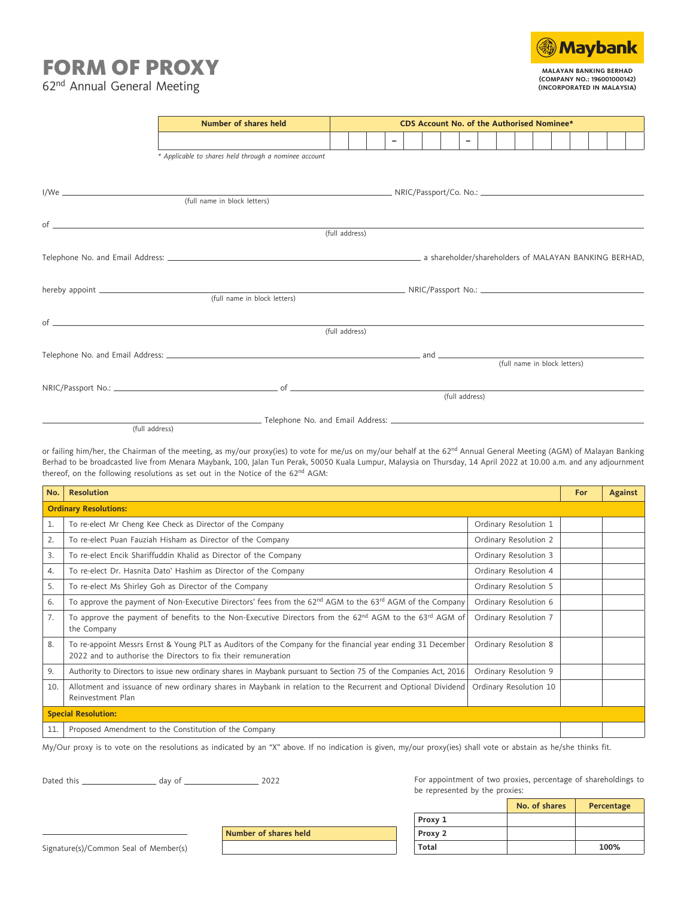## FORM OF PROXY

**Maybank MALAYAN BANKING BERHAD (COMPANY NO.: 196001000142) (INCORPORATED IN MALAYSIA)**

62nd Annual General Meeting

|                | Number of shares held                                 | CDS Account No. of the Authorised Nominee* |  |                          |  |  |  |                |  |                              |  |  |  |
|----------------|-------------------------------------------------------|--------------------------------------------|--|--------------------------|--|--|--|----------------|--|------------------------------|--|--|--|
|                |                                                       |                                            |  | $\overline{\phantom{0}}$ |  |  |  | $\sim$         |  |                              |  |  |  |
|                | * Applicable to shares held through a nominee account |                                            |  |                          |  |  |  |                |  |                              |  |  |  |
|                |                                                       |                                            |  |                          |  |  |  |                |  |                              |  |  |  |
|                |                                                       |                                            |  |                          |  |  |  |                |  |                              |  |  |  |
|                |                                                       |                                            |  |                          |  |  |  |                |  |                              |  |  |  |
|                | $of$ $\overline{\phantom{a}}$                         |                                            |  |                          |  |  |  |                |  |                              |  |  |  |
|                |                                                       | (full address)                             |  |                          |  |  |  |                |  |                              |  |  |  |
|                |                                                       |                                            |  |                          |  |  |  |                |  |                              |  |  |  |
|                |                                                       |                                            |  |                          |  |  |  |                |  |                              |  |  |  |
|                |                                                       |                                            |  |                          |  |  |  |                |  |                              |  |  |  |
|                | (full name in block letters)                          |                                            |  |                          |  |  |  |                |  |                              |  |  |  |
|                | $of$ $\overline{\phantom{a}}$                         |                                            |  |                          |  |  |  |                |  |                              |  |  |  |
|                |                                                       | (full address)                             |  |                          |  |  |  |                |  |                              |  |  |  |
|                |                                                       |                                            |  |                          |  |  |  |                |  | (full name in block letters) |  |  |  |
|                |                                                       |                                            |  |                          |  |  |  |                |  |                              |  |  |  |
|                |                                                       |                                            |  |                          |  |  |  | (full address) |  |                              |  |  |  |
|                |                                                       |                                            |  |                          |  |  |  |                |  |                              |  |  |  |
| (full address) |                                                       |                                            |  |                          |  |  |  |                |  |                              |  |  |  |

or failing him/her, the Chairman of the meeting, as my/our proxy(ies) to vote for me/us on my/our behalf at the 62<sup>nd</sup> Annual General Meeting (AGM) of Malayan Banking Berhad to be broadcasted live from Menara Maybank, 100, Jalan Tun Perak, 50050 Kuala Lumpur, Malaysia on Thursday, 14 April 2022 at 10.00 a.m. and any adjournment thereof, on the following resolutions as set out in the Notice of the 62<sup>nd</sup> AGM:

| No.                                                          | <b>Resolution</b>                                                                                                                                                            |                        |  |  |  |  |  |  |
|--------------------------------------------------------------|------------------------------------------------------------------------------------------------------------------------------------------------------------------------------|------------------------|--|--|--|--|--|--|
| <b>Ordinary Resolutions:</b>                                 |                                                                                                                                                                              |                        |  |  |  |  |  |  |
| 1.                                                           | To re-elect Mr Cheng Kee Check as Director of the Company                                                                                                                    | Ordinary Resolution 1  |  |  |  |  |  |  |
| 2.                                                           | To re-elect Puan Fauziah Hisham as Director of the Company                                                                                                                   | Ordinary Resolution 2  |  |  |  |  |  |  |
| 3.                                                           | To re-elect Encik Shariffuddin Khalid as Director of the Company                                                                                                             | Ordinary Resolution 3  |  |  |  |  |  |  |
| 4.                                                           | To re-elect Dr. Hasnita Dato' Hashim as Director of the Company                                                                                                              | Ordinary Resolution 4  |  |  |  |  |  |  |
| 5.                                                           | To re-elect Ms Shirley Goh as Director of the Company                                                                                                                        | Ordinary Resolution 5  |  |  |  |  |  |  |
| 6.                                                           | To approve the payment of Non-Executive Directors' fees from the 62 <sup>nd</sup> AGM to the 63 <sup>rd</sup> AGM of the Company                                             | Ordinary Resolution 6  |  |  |  |  |  |  |
| 7.                                                           | To approve the payment of benefits to the Non-Executive Directors from the 62 <sup>nd</sup> AGM to the 63 <sup>rd</sup> AGM of<br>the Company                                | Ordinary Resolution 7  |  |  |  |  |  |  |
| 8.                                                           | To re-appoint Messrs Ernst & Young PLT as Auditors of the Company for the financial year ending 31 December<br>2022 and to authorise the Directors to fix their remuneration | Ordinary Resolution 8  |  |  |  |  |  |  |
| 9.                                                           | Authority to Directors to issue new ordinary shares in Maybank pursuant to Section 75 of the Companies Act, 2016                                                             | Ordinary Resolution 9  |  |  |  |  |  |  |
| 10.                                                          | Allotment and issuance of new ordinary shares in Maybank in relation to the Recurrent and Optional Dividend<br>Reinvestment Plan                                             | Ordinary Resolution 10 |  |  |  |  |  |  |
|                                                              | <b>Special Resolution:</b>                                                                                                                                                   |                        |  |  |  |  |  |  |
| Proposed Amendment to the Constitution of the Company<br>11. |                                                                                                                                                                              |                        |  |  |  |  |  |  |

My/Our proxy is to vote on the resolutions as indicated by an "X" above. If no indication is given, my/our proxy(ies) shall vote or abstain as he/she thinks fit.

**Number of shares held**

Dated this day of 2022

For appointment of two proxies, percentage of shareholdings to be represented by the proxies:

|         | No. of shares | Percentage |
|---------|---------------|------------|
| Proxy 1 |               |            |
| Proxy 2 |               |            |
| Total   |               | 100%       |